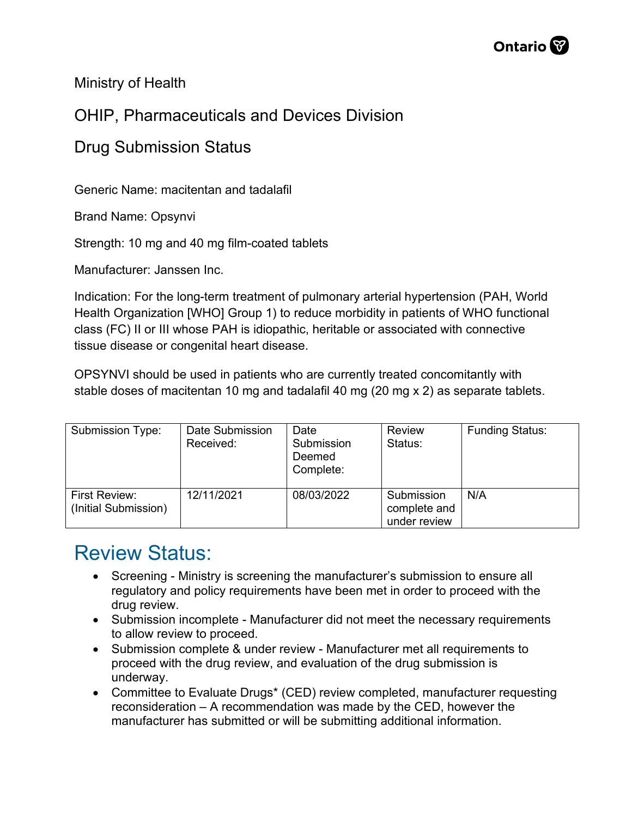

Ministry of Health

## OHIP, Pharmaceuticals and Devices Division

## Drug Submission Status

Generic Name: macitentan and tadalafil

Brand Name: Opsynvi

Strength: 10 mg and 40 mg film-coated tablets

Manufacturer: Janssen Inc.

Indication: For the long-term treatment of pulmonary arterial hypertension (PAH, World Health Organization [WHO] Group 1) to reduce morbidity in patients of WHO functional class (FC) II or III whose PAH is idiopathic, heritable or associated with connective tissue disease or congenital heart disease.

OPSYNVI should be used in patients who are currently treated concomitantly with stable doses of macitentan 10 mg and tadalafil 40 mg (20 mg x 2) as separate tablets.

| <b>Submission Type:</b>                      | Date Submission<br>Received: | Date<br>Submission<br>Deemed<br>Complete: | <b>Review</b><br>Status:                   | <b>Funding Status:</b> |
|----------------------------------------------|------------------------------|-------------------------------------------|--------------------------------------------|------------------------|
| <b>First Review:</b><br>(Initial Submission) | 12/11/2021                   | 08/03/2022                                | Submission<br>complete and<br>under review | N/A                    |

## Review Status:

- Screening Ministry is screening the manufacturer's submission to ensure all regulatory and policy requirements have been met in order to proceed with the drug review.
- Submission incomplete Manufacturer did not meet the necessary requirements to allow review to proceed.
- Submission complete & under review Manufacturer met all requirements to proceed with the drug review, and evaluation of the drug submission is underway.
- Committee to Evaluate Drugs\* (CED) review completed, manufacturer requesting reconsideration – A recommendation was made by the CED, however the manufacturer has submitted or will be submitting additional information.